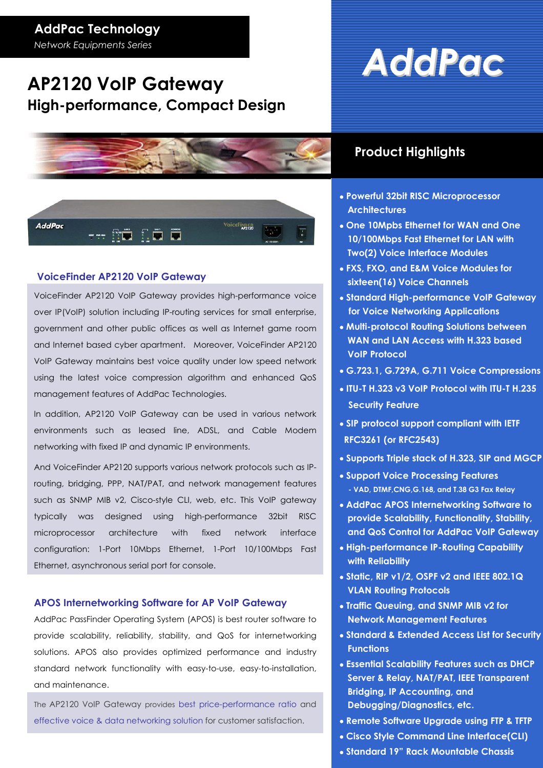### **AddPac Technology**

*Network Equipments Series* 

### **AP2120 VoIP Gateway High-performance, Compact Design**





### **VoiceFinder AP2120 VoIP Gateway**

VoiceFinder AP2120 VoIP Gateway provides high-performance voice over IP(VoIP) solution including IP-routing services for small enterprise, government and other public offices as well as Internet game room and Internet based cyber apartment. Moreover, VoiceFinder AP2120 VoIP Gateway maintains best voice quality under low speed network using the latest voice compression algorithm and enhanced QoS management features of AddPac Technologies.

In addition, AP2120 VoIP Gateway can be used in various network environments such as leased line, ADSL, and Cable Modem networking with fixed IP and dynamic IP environments.

And VoiceFinder AP2120 supports various network protocols such as IProuting, bridging, PPP, NAT/PAT, and network management features such as SNMP MIB v2, Cisco-style CLI, web, etc. This VoIP gateway typically was designed using high-performance 32bit RISC microprocessor architecture with fixed network interface configuration: 1-Port 10Mbps Ethernet, 1-Port 10/100Mbps Fast Ethernet, asynchronous serial port for console.

### **APOS Internetworking Software for AP VoIP Gateway**

AddPac PassFinder Operating System (APOS) is best router software to provide scalability, reliability, stability, and QoS for internetworking solutions. APOS also provides optimized performance and industry standard network functionality with easy-to-use, easy-to-installation, and maintenance.

The AP2120 VoIP Gateway provides best price-performance ratio and effective voice & data networking solution for customer satisfaction.

# *AddPac*

### **Product Highlights**

- • **Powerful 32bit RISC Microprocessor Architectures**
- • **One 10Mpbs Ethernet for WAN and One 10/100Mbps Fast Ethernet for LAN with Two(2) Voice Interface Modules**
- • **FXS, FXO, and E&M Voice Modules for sixteen(16) Voice Channels**
- • **Standard High-performance VoIP Gateway for Voice Networking Applications**
- • **Multi-protocol Routing Solutions between WAN and LAN Access with H.323 based VoIP Protocol**
- • **G.723.1, G.729A, G.711 Voice Compressions**
- • **ITU-T H.323 v3 VoIP Protocol with ITU-T H.235 Security Feature**
- • **SIP protocol support compliant with IETF RFC3261 (or RFC2543)**
- • **Supports Triple stack of H.323, SIP and MGCP**
- • **Support Voice Processing Features - VAD, DTMF,CNG,G.168, and T.38 G3 Fax Relay**
- • **AddPac APOS Internetworking Software to provide Scalability, Functionality, Stability, and QoS Control for AddPac VoIP Gateway**
- • **High-performance IP-Routing Capability with Reliability**
- • **Static, RIP v1/2, OSPF v2 and IEEE 802.1Q VLAN Routing Protocols**
- • **Traffic Queuing, and SNMP MIB v2 for Network Management Features**
- • **Standard & Extended Access List for Security Functions**
- • **Essential Scalability Features such as DHCP Server & Relay, NAT/PAT, IEEE Transparent Bridging, IP Accounting, and Debugging/Diagnostics, etc.**
- • **Remote Software Upgrade using FTP & TFTP**
- • **Cisco Style Command Line Interface(CLI)**
- • **Standard 19" Rack Mountable Chassis**